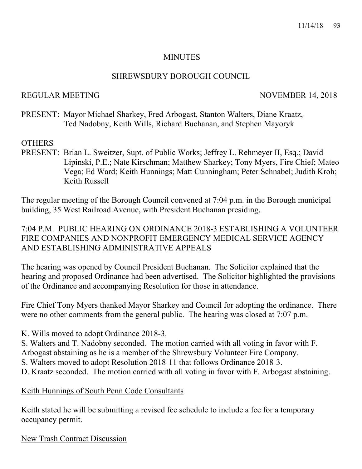#### **MINUTES**

## SHREWSBURY BOROUGH COUNCIL

## REGULAR MEETING NOVEMBER 14, 2018

PRESENT: Mayor Michael Sharkey, Fred Arbogast, Stanton Walters, Diane Kraatz, Ted Nadobny, Keith Wills, Richard Buchanan, and Stephen Mayoryk

## **OTHERS**

PRESENT: Brian L. Sweitzer, Supt. of Public Works; Jeffrey L. Rehmeyer II, Esq.; David Lipinski, P.E.; Nate Kirschman; Matthew Sharkey; Tony Myers, Fire Chief; Mateo Vega; Ed Ward; Keith Hunnings; Matt Cunningham; Peter Schnabel; Judith Kroh; Keith Russell

The regular meeting of the Borough Council convened at 7:04 p.m. in the Borough municipal building, 35 West Railroad Avenue, with President Buchanan presiding.

7:04 P.M. PUBLIC HEARING ON ORDINANCE 2018-3 ESTABLISHING A VOLUNTEER FIRE COMPANIES AND NONPROFIT EMERGENCY MEDICAL SERVICE AGENCY AND ESTABLISHING ADMINISTRATIVE APPEALS

The hearing was opened by Council President Buchanan. The Solicitor explained that the hearing and proposed Ordinance had been advertised. The Solicitor highlighted the provisions of the Ordinance and accompanying Resolution for those in attendance.

Fire Chief Tony Myers thanked Mayor Sharkey and Council for adopting the ordinance. There were no other comments from the general public. The hearing was closed at 7:07 p.m.

K. Wills moved to adopt Ordinance 2018-3.

S. Walters and T. Nadobny seconded. The motion carried with all voting in favor with F. Arbogast abstaining as he is a member of the Shrewsbury Volunteer Fire Company.

- S. Walters moved to adopt Resolution 2018-11 that follows Ordinance 2018-3.
- D. Kraatz seconded. The motion carried with all voting in favor with F. Arbogast abstaining.

Keith Hunnings of South Penn Code Consultants

Keith stated he will be submitting a revised fee schedule to include a fee for a temporary occupancy permit.

New Trash Contract Discussion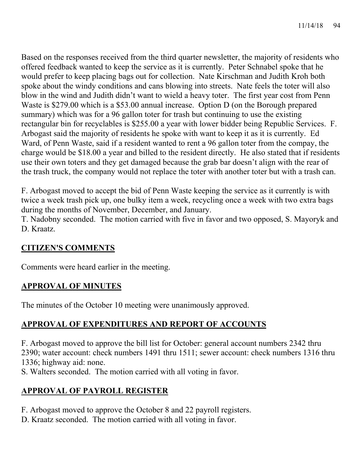Based on the responses received from the third quarter newsletter, the majority of residents who offered feedback wanted to keep the service as it is currently. Peter Schnabel spoke that he would prefer to keep placing bags out for collection. Nate Kirschman and Judith Kroh both spoke about the windy conditions and cans blowing into streets. Nate feels the toter will also blow in the wind and Judith didn't want to wield a heavy toter. The first year cost from Penn Waste is \$279.00 which is a \$53.00 annual increase. Option D (on the Borough prepared summary) which was for a 96 gallon toter for trash but continuing to use the existing rectangular bin for recyclables is \$255.00 a year with lower bidder being Republic Services. F. Arbogast said the majority of residents he spoke with want to keep it as it is currently. Ed Ward, of Penn Waste, said if a resident wanted to rent a 96 gallon toter from the compay, the charge would be \$18.00 a year and billed to the resident directly. He also stated that if residents use their own toters and they get damaged because the grab bar doesn't align with the rear of the trash truck, the company would not replace the toter with another toter but with a trash can.

F. Arbogast moved to accept the bid of Penn Waste keeping the service as it currently is with twice a week trash pick up, one bulky item a week, recycling once a week with two extra bags during the months of November, December, and January.

T. Nadobny seconded. The motion carried with five in favor and two opposed, S. Mayoryk and D. Kraatz.

# **CITIZEN'S COMMENTS**

Comments were heard earlier in the meeting.

# **APPROVAL OF MINUTES**

The minutes of the October 10 meeting were unanimously approved.

# **APPROVAL OF EXPENDITURES AND REPORT OF ACCOUNTS**

F. Arbogast moved to approve the bill list for October: general account numbers 2342 thru 2390; water account: check numbers 1491 thru 1511; sewer account: check numbers 1316 thru 1336; highway aid: none.

S. Walters seconded. The motion carried with all voting in favor.

# **APPROVAL OF PAYROLL REGISTER**

F. Arbogast moved to approve the October 8 and 22 payroll registers.

D. Kraatz seconded. The motion carried with all voting in favor.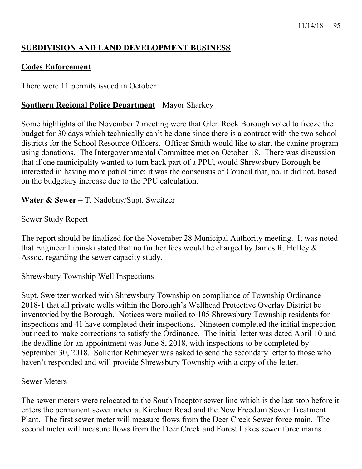# **SUBDIVISION AND LAND DEVELOPMENT BUSINESS**

## **Codes Enforcement**

There were 11 permits issued in October.

## **Southern Regional Police Department –** Mayor Sharkey

Some highlights of the November 7 meeting were that Glen Rock Borough voted to freeze the budget for 30 days which technically can't be done since there is a contract with the two school districts for the School Resource Officers. Officer Smith would like to start the canine program using donations. The Intergovernmental Committee met on October 18. There was discussion that if one municipality wanted to turn back part of a PPU, would Shrewsbury Borough be interested in having more patrol time; it was the consensus of Council that, no, it did not, based on the budgetary increase due to the PPU calculation.

## **Water & Sewer** – T. Nadobny/Supt. Sweitzer

## Sewer Study Report

The report should be finalized for the November 28 Municipal Authority meeting. It was noted that Engineer Lipinski stated that no further fees would be charged by James R. Holley & Assoc. regarding the sewer capacity study.

## Shrewsbury Township Well Inspections

Supt. Sweitzer worked with Shrewsbury Township on compliance of Township Ordinance 2018-1 that all private wells within the Borough's Wellhead Protective Overlay District be inventoried by the Borough. Notices were mailed to 105 Shrewsbury Township residents for inspections and 41 have completed their inspections. Nineteen completed the initial inspection but need to make corrections to satisfy the Ordinance. The initial letter was dated April 10 and the deadline for an appointment was June 8, 2018, with inspections to be completed by September 30, 2018. Solicitor Rehmeyer was asked to send the secondary letter to those who haven't responded and will provide Shrewsbury Township with a copy of the letter.

## Sewer Meters

The sewer meters were relocated to the South Inceptor sewer line which is the last stop before it enters the permanent sewer meter at Kirchner Road and the New Freedom Sewer Treatment Plant. The first sewer meter will measure flows from the Deer Creek Sewer force main. The second meter will measure flows from the Deer Creek and Forest Lakes sewer force mains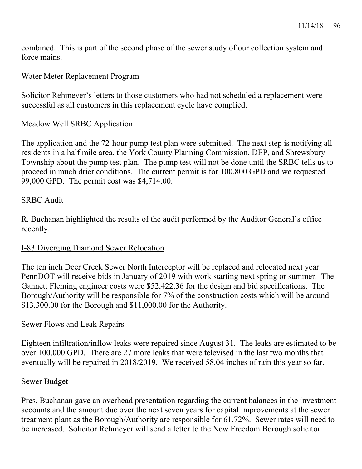combined. This is part of the second phase of the sewer study of our collection system and force mains.

## Water Meter Replacement Program

Solicitor Rehmeyer's letters to those customers who had not scheduled a replacement were successful as all customers in this replacement cycle have complied.

## Meadow Well SRBC Application

The application and the 72-hour pump test plan were submitted. The next step is notifying all residents in a half mile area, the York County Planning Commission, DEP, and Shrewsbury Township about the pump test plan. The pump test will not be done until the SRBC tells us to proceed in much drier conditions. The current permit is for 100,800 GPD and we requested 99,000 GPD. The permit cost was \$4,714.00.

## SRBC Audit

R. Buchanan highlighted the results of the audit performed by the Auditor General's office recently.

## I-83 Diverging Diamond Sewer Relocation

The ten inch Deer Creek Sewer North Interceptor will be replaced and relocated next year. PennDOT will receive bids in January of 2019 with work starting next spring or summer. The Gannett Fleming engineer costs were \$52,422.36 for the design and bid specifications. The Borough/Authority will be responsible for 7% of the construction costs which will be around \$13,300.00 for the Borough and \$11,000.00 for the Authority.

## Sewer Flows and Leak Repairs

Eighteen infiltration/inflow leaks were repaired since August 31. The leaks are estimated to be over 100,000 GPD. There are 27 more leaks that were televised in the last two months that eventually will be repaired in 2018/2019. We received 58.04 inches of rain this year so far.

## Sewer Budget

Pres. Buchanan gave an overhead presentation regarding the current balances in the investment accounts and the amount due over the next seven years for capital improvements at the sewer treatment plant as the Borough/Authority are responsible for 61.72%. Sewer rates will need to be increased. Solicitor Rehmeyer will send a letter to the New Freedom Borough solicitor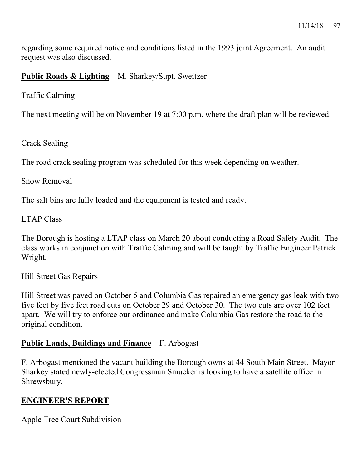regarding some required notice and conditions listed in the 1993 joint Agreement. An audit request was also discussed.

## **Public Roads & Lighting** – M. Sharkey/Supt. Sweitzer

## Traffic Calming

The next meeting will be on November 19 at 7:00 p.m. where the draft plan will be reviewed.

## Crack Sealing

The road crack sealing program was scheduled for this week depending on weather.

## Snow Removal

The salt bins are fully loaded and the equipment is tested and ready.

## LTAP Class

The Borough is hosting a LTAP class on March 20 about conducting a Road Safety Audit. The class works in conjunction with Traffic Calming and will be taught by Traffic Engineer Patrick Wright.

## Hill Street Gas Repairs

Hill Street was paved on October 5 and Columbia Gas repaired an emergency gas leak with two five feet by five feet road cuts on October 29 and October 30. The two cuts are over 102 feet apart. We will try to enforce our ordinance and make Columbia Gas restore the road to the original condition.

# **Public Lands, Buildings and Finance** – F. Arbogast

F. Arbogast mentioned the vacant building the Borough owns at 44 South Main Street. Mayor Sharkey stated newly-elected Congressman Smucker is looking to have a satellite office in Shrewsbury.

## **ENGINEER'S REPORT**

## Apple Tree Court Subdivision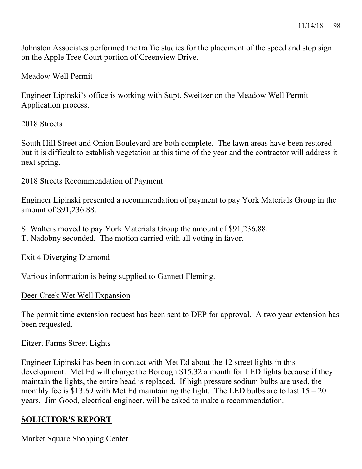Johnston Associates performed the traffic studies for the placement of the speed and stop sign on the Apple Tree Court portion of Greenview Drive.

## Meadow Well Permit

Engineer Lipinski's office is working with Supt. Sweitzer on the Meadow Well Permit Application process.

#### 2018 Streets

South Hill Street and Onion Boulevard are both complete. The lawn areas have been restored but it is difficult to establish vegetation at this time of the year and the contractor will address it next spring.

## 2018 Streets Recommendation of Payment

Engineer Lipinski presented a recommendation of payment to pay York Materials Group in the amount of \$91,236.88.

- S. Walters moved to pay York Materials Group the amount of \$91,236.88.
- T. Nadobny seconded. The motion carried with all voting in favor.

## Exit 4 Diverging Diamond

Various information is being supplied to Gannett Fleming.

## Deer Creek Wet Well Expansion

The permit time extension request has been sent to DEP for approval. A two year extension has been requested.

## Eitzert Farms Street Lights

Engineer Lipinski has been in contact with Met Ed about the 12 street lights in this development. Met Ed will charge the Borough \$15.32 a month for LED lights because if they maintain the lights, the entire head is replaced. If high pressure sodium bulbs are used, the monthly fee is \$13.69 with Met Ed maintaining the light. The LED bulbs are to last  $15 - 20$ years. Jim Good, electrical engineer, will be asked to make a recommendation.

# **SOLICITOR'S REPORT**

Market Square Shopping Center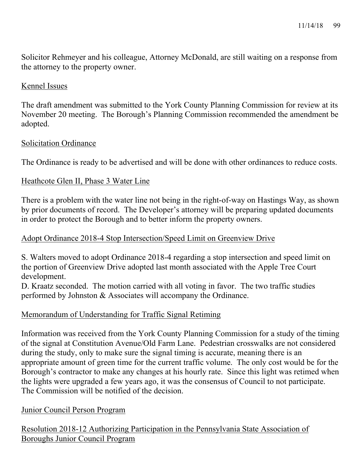Solicitor Rehmeyer and his colleague, Attorney McDonald, are still waiting on a response from the attorney to the property owner.

## Kennel Issues

The draft amendment was submitted to the York County Planning Commission for review at its November 20 meeting. The Borough's Planning Commission recommended the amendment be adopted.

#### Solicitation Ordinance

The Ordinance is ready to be advertised and will be done with other ordinances to reduce costs.

#### Heathcote Glen II, Phase 3 Water Line

There is a problem with the water line not being in the right-of-way on Hastings Way, as shown by prior documents of record. The Developer's attorney will be preparing updated documents in order to protect the Borough and to better inform the property owners.

## Adopt Ordinance 2018-4 Stop Intersection/Speed Limit on Greenview Drive

S. Walters moved to adopt Ordinance 2018-4 regarding a stop intersection and speed limit on the portion of Greenview Drive adopted last month associated with the Apple Tree Court development.

D. Kraatz seconded. The motion carried with all voting in favor. The two traffic studies performed by Johnston & Associates will accompany the Ordinance.

## Memorandum of Understanding for Traffic Signal Retiming

Information was received from the York County Planning Commission for a study of the timing of the signal at Constitution Avenue/Old Farm Lane. Pedestrian crosswalks are not considered during the study, only to make sure the signal timing is accurate, meaning there is an appropriate amount of green time for the current traffic volume. The only cost would be for the Borough's contractor to make any changes at his hourly rate. Since this light was retimed when the lights were upgraded a few years ago, it was the consensus of Council to not participate. The Commission will be notified of the decision.

## Junior Council Person Program

Resolution 2018-12 Authorizing Participation in the Pennsylvania State Association of Boroughs Junior Council Program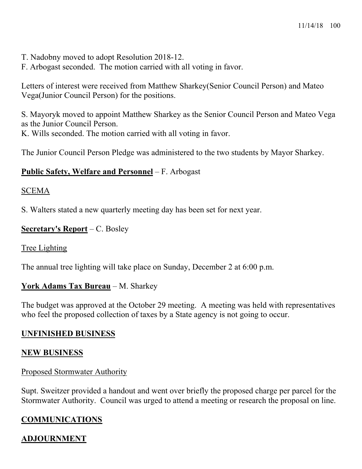- T. Nadobny moved to adopt Resolution 2018-12.
- F. Arbogast seconded. The motion carried with all voting in favor.

Letters of interest were received from Matthew Sharkey(Senior Council Person) and Mateo Vega(Junior Council Person) for the positions.

S. Mayoryk moved to appoint Matthew Sharkey as the Senior Council Person and Mateo Vega as the Junior Council Person. K. Wills seconded. The motion carried with all voting in favor.

The Junior Council Person Pledge was administered to the two students by Mayor Sharkey.

## **Public Safety, Welfare and Personnel** – F. Arbogast

#### SCEMA

S. Walters stated a new quarterly meeting day has been set for next year.

## **Secretary's Report** – C. Bosley

## Tree Lighting

The annual tree lighting will take place on Sunday, December 2 at 6:00 p.m.

## **York Adams Tax Bureau** – M. Sharkey

The budget was approved at the October 29 meeting. A meeting was held with representatives who feel the proposed collection of taxes by a State agency is not going to occur.

## **UNFINISHED BUSINESS**

## **NEW BUSINESS**

## Proposed Stormwater Authority

Supt. Sweitzer provided a handout and went over briefly the proposed charge per parcel for the Stormwater Authority. Council was urged to attend a meeting or research the proposal on line.

# **COMMUNICATIONS**

## **ADJOURNMENT**